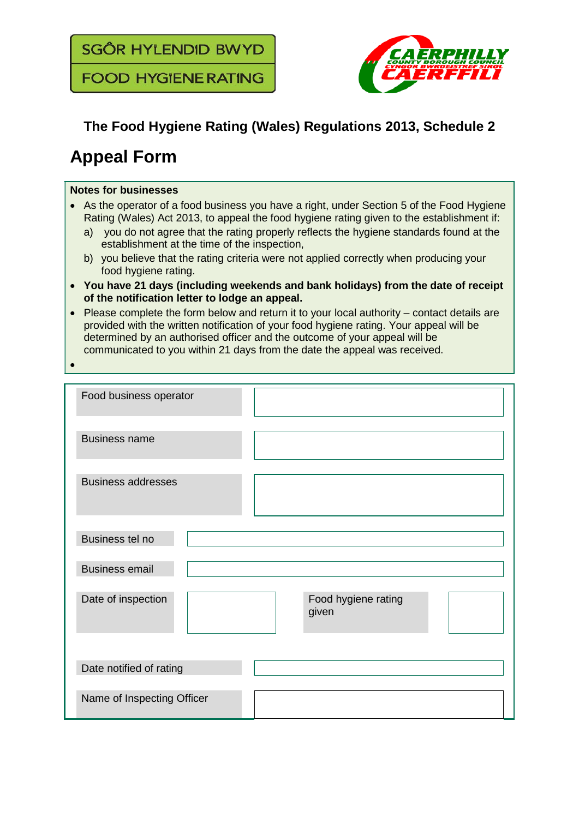**SGÔR HYLENDID BWYD** 

**FOOD HYGIENE RATING** 



## **The Food Hygiene Rating (Wales) Regulations 2013, Schedule 2**

## **Appeal Form**

## **Notes for businesses**

- As the operator of a food business you have a right, under Section 5 of the Food Hygiene Rating (Wales) Act 2013, to appeal the food hygiene rating given to the establishment if:
	- a) vou do not agree that the rating properly reflects the hygiene standards found at the establishment at the time of the inspection,
	- b) you believe that the rating criteria were not applied correctly when producing your food hygiene rating.
- **You have 21 days (including weekends and bank holidays) from the date of receipt of the notification letter to lodge an appeal.**
- Please complete the form below and return it to your local authority contact details are provided with the written notification of your food hygiene rating. Your appeal will be determined by an authorised officer and the outcome of your appeal will be communicated to you within 21 days from the date the appeal was received.
- •

| Food business operator                             |
|----------------------------------------------------|
| <b>Business name</b>                               |
| <b>Business addresses</b>                          |
| Business tel no                                    |
| <b>Business email</b>                              |
| Date of inspection<br>Food hygiene rating<br>given |
|                                                    |
| Date notified of rating                            |
| Name of Inspecting Officer                         |